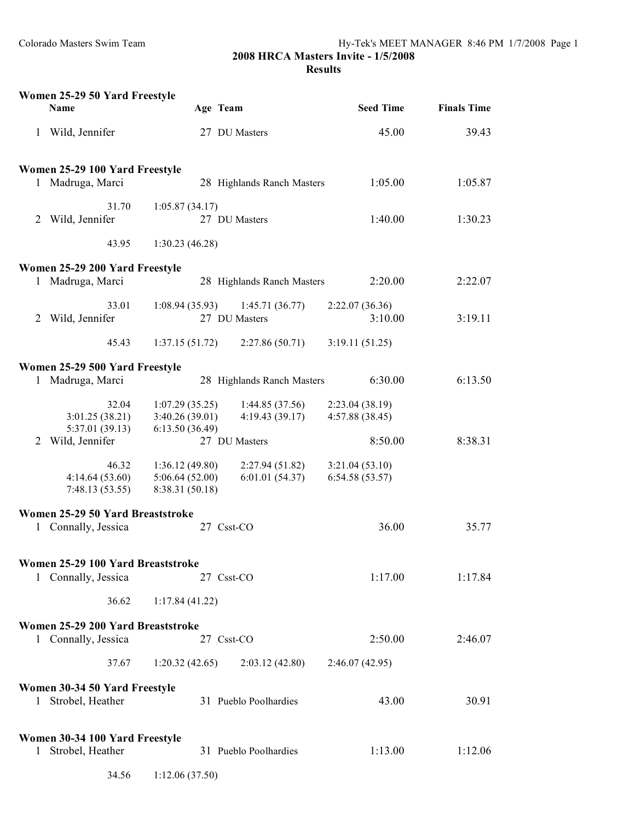|              | Women 25-29 50 Yard Freestyle<br>Name                    |                                                     | Age Team                         | <b>Seed Time</b>                   | <b>Finals Time</b> |
|--------------|----------------------------------------------------------|-----------------------------------------------------|----------------------------------|------------------------------------|--------------------|
| $\mathbf{1}$ | Wild, Jennifer                                           |                                                     | 27 DU Masters                    | 45.00                              | 39.43              |
|              | Women 25-29 100 Yard Freestyle                           |                                                     |                                  |                                    |                    |
|              | 1 Madruga, Marci                                         |                                                     | 28 Highlands Ranch Masters       | 1:05.00                            | 1:05.87            |
| 2            | 31.70<br>Wild, Jennifer                                  | 1:05.87(34.17)                                      | 27 DU Masters                    | 1:40.00                            | 1:30.23            |
|              | 43.95                                                    | 1:30.23(46.28)                                      |                                  |                                    |                    |
|              | Women 25-29 200 Yard Freestyle                           |                                                     |                                  |                                    |                    |
|              | 1 Madruga, Marci                                         |                                                     | 28 Highlands Ranch Masters       | 2:20.00                            | 2:22.07            |
| 2            | 33.01<br>Wild, Jennifer                                  | 1:08.94(35.93)                                      | 1:45.71(36.77)<br>27 DU Masters  | 2:22.07(36.36)<br>3:10.00          | 3:19.11            |
|              | 45.43                                                    | 1:37.15(51.72)                                      | 2:27.86(50.71)                   | 3:19.11(51.25)                     |                    |
|              | Women 25-29 500 Yard Freestyle                           |                                                     |                                  |                                    |                    |
|              | 1 Madruga, Marci                                         |                                                     | 28 Highlands Ranch Masters       | 6:30.00                            | 6:13.50            |
|              | 32.04<br>3:01.25(38.21)<br>5:37.01 (39.13)               | 1:07.29(35.25)<br>3:40.26(39.01)<br>6:13.50(36.49)  | 1:44.85(37.56)<br>4:19.43(39.17) | 2:23.04 (38.19)<br>4:57.88 (38.45) |                    |
| 2            | Wild, Jennifer                                           |                                                     | 27 DU Masters                    | 8:50.00                            | 8:38.31            |
|              | 46.32<br>4:14.64(53.60)<br>7:48.13(53.55)                | 1:36.12(49.80)<br>5:06.64(52.00)<br>8:38.31 (50.18) | 2:27.94(51.82)<br>6:01.01(54.37) | 3:21.04(53.10)<br>6:54.58(53.57)   |                    |
|              | Women 25-29 50 Yard Breaststroke                         |                                                     |                                  |                                    |                    |
| 1            | Connally, Jessica                                        |                                                     | 27 Csst-CO                       | 36.00                              | 35.77              |
|              | Women 25-29 100 Yard Breaststroke                        |                                                     |                                  |                                    |                    |
|              | 1 Connally, Jessica                                      |                                                     | 27 Csst-CO                       | 1:17.00                            | 1:17.84            |
|              | 36.62                                                    | 1:17.84(41.22)                                      |                                  |                                    |                    |
|              | Women 25-29 200 Yard Breaststroke<br>1 Connally, Jessica |                                                     | 27 Csst-CO                       | 2:50.00                            | 2:46.07            |
|              | 37.67                                                    | 1:20.32(42.65)                                      | 2:03.12(42.80)                   | 2:46.07(42.95)                     |                    |
|              | Women 30-34 50 Yard Freestyle                            |                                                     |                                  |                                    |                    |
|              | 1 Strobel, Heather                                       |                                                     | 31 Pueblo Poolhardies            | 43.00                              | 30.91              |
|              | Women 30-34 100 Yard Freestyle                           |                                                     |                                  |                                    |                    |
| $\bf{l}$     | Strobel, Heather                                         |                                                     | 31 Pueblo Poolhardies            | 1:13.00                            | 1:12.06            |
|              | 34.56                                                    | 1:12.06(37.50)                                      |                                  |                                    |                    |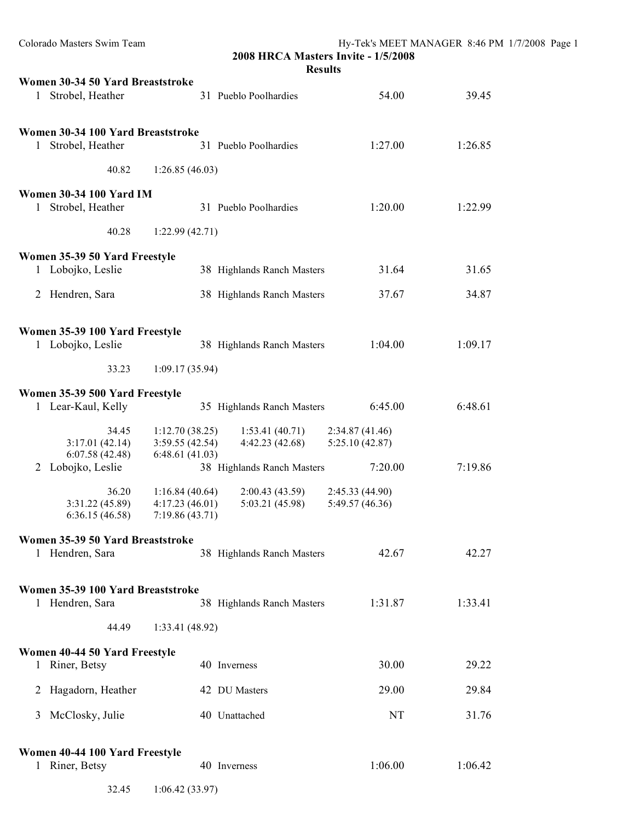| Colorado Masters Swim Team                                            | 2008 HRCA Masters Invite - 1/5/2008<br><b>Results</b>                                   |                                   | Hy-Tek's MEET MANAGER 8:46 PM 1/7/2008 Page 1 |  |
|-----------------------------------------------------------------------|-----------------------------------------------------------------------------------------|-----------------------------------|-----------------------------------------------|--|
| Women 30-34 50 Yard Breaststroke<br>Strobel, Heather<br>1             | 31 Pueblo Poolhardies                                                                   | 54.00                             | 39.45                                         |  |
| Women 30-34 100 Yard Breaststroke<br>Strobel, Heather<br>$\mathbf{1}$ | 31 Pueblo Poolhardies                                                                   | 1:27.00                           | 1:26.85                                       |  |
| 40.82                                                                 | 1:26.85(46.03)                                                                          |                                   |                                               |  |
| <b>Women 30-34 100 Yard IM</b><br>Strobel, Heather<br>$\mathbf{1}$    | 31 Pueblo Poolhardies                                                                   | 1:20.00                           | 1:22.99                                       |  |
| 40.28                                                                 | 1:22.99(42.71)                                                                          |                                   |                                               |  |
| Women 35-39 50 Yard Freestyle<br>1 Lobojko, Leslie                    | 38 Highlands Ranch Masters                                                              | 31.64                             | 31.65                                         |  |
| 2 Hendren, Sara                                                       | 38 Highlands Ranch Masters                                                              | 37.67                             | 34.87                                         |  |
| Women 35-39 100 Yard Freestyle<br>1 Lobojko, Leslie                   | 38 Highlands Ranch Masters                                                              | 1:04.00                           | 1:09.17                                       |  |
| 33.23                                                                 | 1:09.17(35.94)                                                                          |                                   |                                               |  |
| Women 35-39 500 Yard Freestyle<br>1 Lear-Kaul, Kelly                  | 35 Highlands Ranch Masters                                                              | 6:45.00                           | 6:48.61                                       |  |
| 34.45<br>3:17.01(42.14)<br>6:07.58(42.48)<br>6:48.61(41.03)           | 1:12.70(38.25)<br>1:53.41(40.71)<br>3:59.55(42.54)<br>4:42.23(42.68)                    | 2:34.87(41.46)<br>5:25.10(42.87)  |                                               |  |
| 2 Lobojko, Leslie                                                     | 38 Highlands Ranch Masters                                                              | 7:20.00                           | 7:19.86                                       |  |
| 36.20<br>3:31.22 (45.89)<br>6:36.15(46.58)                            | 1:16.84(40.64)<br>2:00.43(43.59)<br>4:17.23(46.01)<br>5:03.21 (45.98)<br>7:19.86(43.71) | 2:45.33(44.90)<br>5:49.57 (46.36) |                                               |  |
| Women 35-39 50 Yard Breaststroke                                      |                                                                                         |                                   |                                               |  |
| 1 Hendren, Sara                                                       | 38 Highlands Ranch Masters                                                              | 42.67                             | 42.27                                         |  |
| Women 35-39 100 Yard Breaststroke<br>1 Hendren, Sara                  | 38 Highlands Ranch Masters                                                              | 1:31.87                           | 1:33.41                                       |  |
| 44.49                                                                 | 1:33.41 (48.92)                                                                         |                                   |                                               |  |
| Women 40-44 50 Yard Freestyle                                         |                                                                                         |                                   |                                               |  |
| 1 Riner, Betsy                                                        | 40 Inverness                                                                            | 30.00                             | 29.22                                         |  |
| Hagadorn, Heather<br>2                                                | 42 DU Masters                                                                           | 29.00                             | 29.84                                         |  |
| McClosky, Julie<br>3                                                  | 40 Unattached                                                                           | NT                                | 31.76                                         |  |
| Women 40-44 100 Yard Freestyle<br>1 Riner, Betsy                      | 40 Inverness                                                                            | 1:06.00                           | 1:06.42                                       |  |

32.45 1:06.42 (33.97)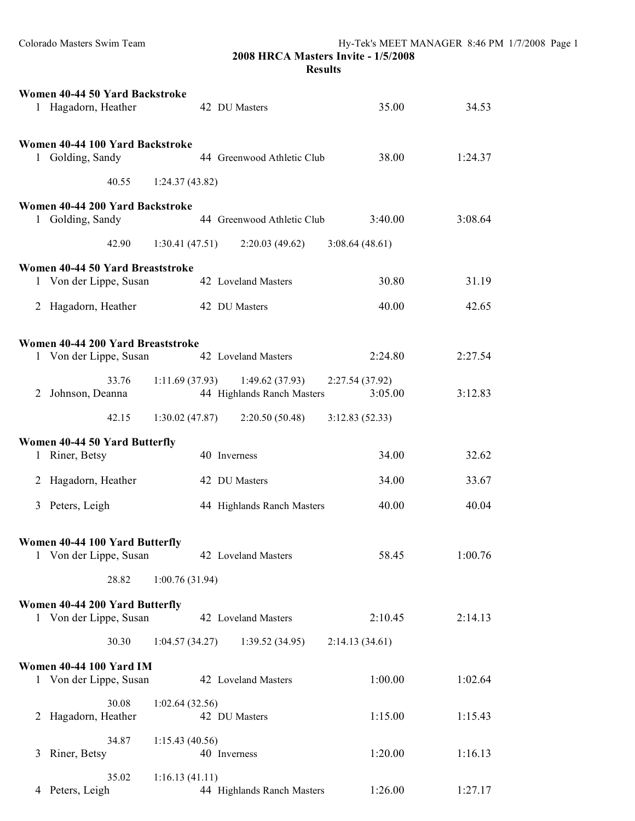|   | Women 40-44 50 Yard Backstroke<br>1 Hagadorn, Heather       |                | 42 DU Masters                                | 35.00                      | 34.53   |
|---|-------------------------------------------------------------|----------------|----------------------------------------------|----------------------------|---------|
|   | Women 40-44 100 Yard Backstroke<br>1 Golding, Sandy         |                | 44 Greenwood Athletic Club                   | 38.00                      | 1:24.37 |
|   | 40.55                                                       | 1:24.37(43.82) |                                              |                            |         |
|   | Women 40-44 200 Yard Backstroke<br>1 Golding, Sandy         |                | 44 Greenwood Athletic Club                   | 3:40.00                    | 3:08.64 |
|   | 42.90                                                       |                | $1:30.41(47.51)$ $2:20.03(49.62)$            | 3:08.64(48.61)             |         |
|   | Women 40-44 50 Yard Breaststroke<br>1 Von der Lippe, Susan  |                | 42 Loveland Masters                          | 30.80                      | 31.19   |
|   | 2 Hagadorn, Heather                                         |                | 42 DU Masters                                | 40.00                      | 42.65   |
|   |                                                             |                |                                              |                            |         |
|   | Women 40-44 200 Yard Breaststroke<br>1 Von der Lippe, Susan |                | 42 Loveland Masters                          | 2:24.80                    | 2:27.54 |
| 2 | 33.76<br>Johnson, Deanna                                    | 1:11.69(37.93) | 1:49.62(37.93)<br>44 Highlands Ranch Masters | 2:27.54 (37.92)<br>3:05.00 | 3:12.83 |
|   | 42.15                                                       |                | $1:30.02(47.87)$ $2:20.50(50.48)$            | 3:12.83(52.33)             |         |
|   | Women 40-44 50 Yard Butterfly                               |                |                                              |                            |         |
|   | 1 Riner, Betsy                                              |                | 40 Inverness                                 | 34.00                      | 32.62   |
|   | 2 Hagadorn, Heather                                         |                | 42 DU Masters                                | 34.00                      | 33.67   |
| 3 | Peters, Leigh                                               |                | 44 Highlands Ranch Masters                   | 40.00                      | 40.04   |
| 1 | Women 40-44 100 Yard Butterfly<br>Von der Lippe, Susan      |                | 42 Loveland Masters                          | 58.45                      | 1:00.76 |
|   | 28.82                                                       | 1:00.76(31.94) |                                              |                            |         |
|   | Women 40-44 200 Yard Butterfly                              |                |                                              |                            |         |
|   | 1 Von der Lippe, Susan                                      |                | 42 Loveland Masters                          | 2:10.45                    | 2:14.13 |
|   | 30.30                                                       | 1:04.57(34.27) | 1:39.52(34.95)                               | 2:14.13(34.61)             |         |
|   | Women 40-44 100 Yard IM<br>1 Von der Lippe, Susan           |                | 42 Loveland Masters                          | 1:00.00                    | 1:02.64 |
| 2 | 30.08<br>Hagadorn, Heather                                  | 1:02.64(32.56) | 42 DU Masters                                | 1:15.00                    | 1:15.43 |
| 3 | 34.87<br>Riner, Betsy                                       | 1:15.43(40.56) | 40 Inverness                                 | 1:20.00                    | 1:16.13 |
|   | 35.02<br>4 Peters, Leigh                                    | 1:16.13(41.11) | 44 Highlands Ranch Masters                   | 1:26.00                    | 1:27.17 |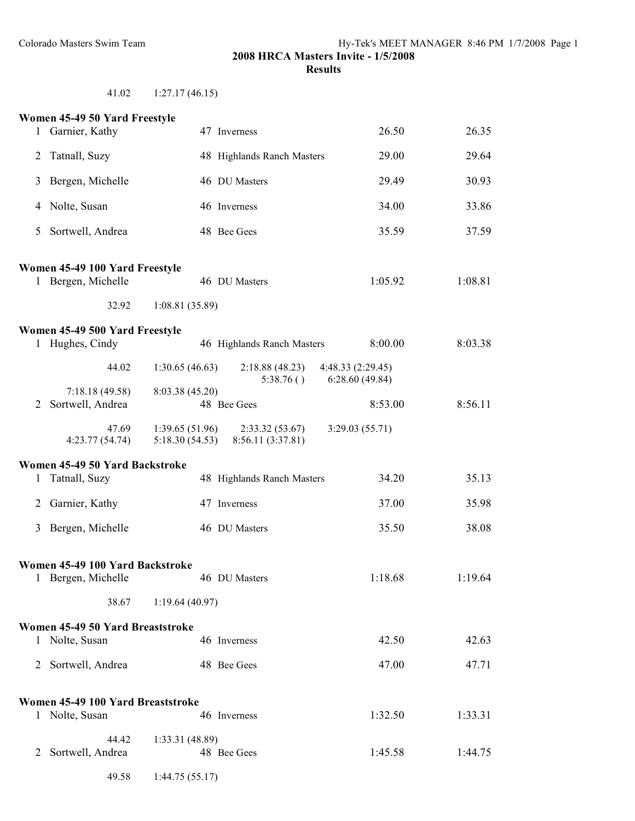41.02 1:27.17 (46.15)

|                | Women 45-49 50 Yard Freestyle                        |                                  |                                     |                                     |         |
|----------------|------------------------------------------------------|----------------------------------|-------------------------------------|-------------------------------------|---------|
|                | 1 Garnier, Kathy                                     |                                  | 47 Inverness                        | 26.50                               | 26.35   |
| 2              | Tatnall, Suzy                                        |                                  | 48 Highlands Ranch Masters          | 29.00                               | 29.64   |
| 3              | Bergen, Michelle                                     |                                  | 46 DU Masters                       | 29.49                               | 30.93   |
| 4              | Nolte, Susan                                         |                                  | 46 Inverness                        | 34.00                               | 33.86   |
| 5              | Sortwell, Andrea                                     |                                  | 48 Bee Gees                         | 35.59                               | 37.59   |
|                | Women 45-49 100 Yard Freestyle<br>1 Bergen, Michelle |                                  | 46 DU Masters                       | 1:05.92                             | 1:08.81 |
|                | 32.92                                                | 1:08.81(35.89)                   |                                     |                                     |         |
|                | Women 45-49 500 Yard Freestyle<br>1 Hughes, Cindy    |                                  | 46 Highlands Ranch Masters          | 8:00.00                             | 8:03.38 |
|                | 44.02                                                | 1:30.65(46.63)                   | 2:18.88(48.23)<br>5:38.76()         | 4:48.33 (2:29.45)<br>6:28.60(49.84) |         |
| 2              | 7:18.18(49.58)<br>Sortwell, Andrea                   | 8:03.38 (45.20)                  | 48 Bee Gees                         | 8:53.00                             | 8:56.11 |
|                | 47.69<br>4:23.77(54.74)                              | 1:39.65(51.96)<br>5:18.30(54.53) | 2:33.32(53.67)<br>8:56.11 (3:37.81) | 3:29.03(55.71)                      |         |
|                | Women 45-49 50 Yard Backstroke                       |                                  |                                     |                                     |         |
|                | 1 Tatnall, Suzy                                      |                                  | 48 Highlands Ranch Masters          | 34.20                               | 35.13   |
| $\overline{2}$ | Garnier, Kathy                                       |                                  | 47 Inverness                        | 37.00                               | 35.98   |
| 3              | Bergen, Michelle                                     |                                  | 46 DU Masters                       | 35.50                               | 38.08   |
|                | Women 45-49 100 Yard Backstroke                      |                                  |                                     |                                     |         |
|                | 1 Bergen, Michelle                                   |                                  | 46 DU Masters                       | 1:18.68                             | 1:19.64 |
|                | 38.67                                                | 1:19.64(40.97)                   |                                     |                                     |         |
|                | Women 45-49 50 Yard Breaststroke                     |                                  |                                     |                                     |         |
|                | 1 Nolte, Susan                                       |                                  | 46 Inverness                        | 42.50                               | 42.63   |
| 2              | Sortwell, Andrea                                     |                                  | 48 Bee Gees                         | 47.00                               | 47.71   |
|                | Women 45-49 100 Yard Breaststroke                    |                                  |                                     |                                     |         |
|                | 1 Nolte, Susan                                       |                                  | 46 Inverness                        | 1:32.50                             | 1:33.31 |
|                | 44.42                                                | 1:33.31 (48.89)                  |                                     |                                     |         |
| 2              | Sortwell, Andrea                                     |                                  | 48 Bee Gees                         | 1:45.58                             | 1:44.75 |
|                | 49.58                                                | 1:44.75(55.17)                   |                                     |                                     |         |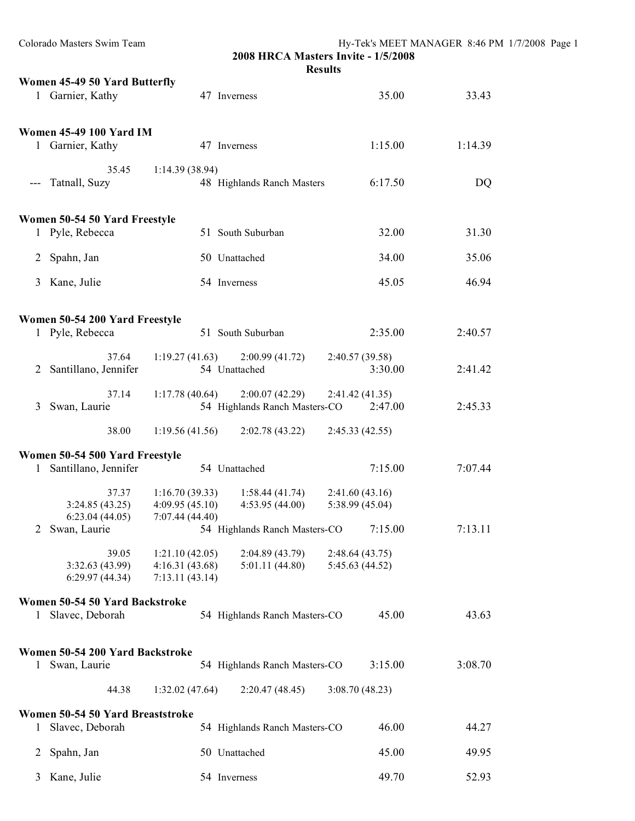| Colorado Masters Swim Team                                | 2008 HRCA Masters Invite - 1/5/2008<br><b>Results</b>                                    |                                   | Hy-Tek's MEET MANAGER 8:46 PM 1/7/2008 Page 1 |  |
|-----------------------------------------------------------|------------------------------------------------------------------------------------------|-----------------------------------|-----------------------------------------------|--|
| Women 45-49 50 Yard Butterfly<br>1 Garnier, Kathy         | 47 Inverness                                                                             | 35.00                             | 33.43                                         |  |
| <b>Women 45-49 100 Yard IM</b><br>1 Garnier, Kathy        | 47 Inverness                                                                             | 1:15.00                           | 1:14.39                                       |  |
| 35.45<br>--- Tatnall, Suzy                                | 1:14.39(38.94)<br>48 Highlands Ranch Masters                                             | 6:17.50                           | DQ                                            |  |
| Women 50-54 50 Yard Freestyle<br>1 Pyle, Rebecca          | 51 South Suburban                                                                        | 32.00                             | 31.30                                         |  |
| 2 Spahn, Jan                                              | 50 Unattached                                                                            | 34.00                             | 35.06                                         |  |
| 3 Kane, Julie                                             | 54 Inverness                                                                             | 45.05                             | 46.94                                         |  |
| Women 50-54 200 Yard Freestyle<br>1 Pyle, Rebecca         | 51 South Suburban                                                                        | 2:35.00                           | 2:40.57                                       |  |
| 37.64<br>2 Santillano, Jennifer                           | $1:19.27(41.63)$ $2:00.99(41.72)$<br>54 Unattached                                       | 2:40.57 (39.58)<br>3:30.00        | 2:41.42                                       |  |
| 37.14<br>3 Swan, Laurie                                   | $1:17.78(40.64)$ $2:00.07(42.29)$<br>54 Highlands Ranch Masters-CO                       | 2:41.42(41.35)<br>2:47.00         | 2:45.33                                       |  |
| 38.00                                                     | 1:19.56(41.56)<br>2:02.78(43.22)                                                         | 2:45.33(42.55)                    |                                               |  |
| Women 50-54 500 Yard Freestyle<br>1 Santillano, Jennifer  | 54 Unattached                                                                            | 7:15.00                           | 7:07.44                                       |  |
| 37.37<br>3:24.85(43.25)<br>6:23.04(44.05)                 | 1:16.70(39.33)<br>1:58.44(41.74)<br>$4:09.95(45.10)$ $4:53.95(44.00)$<br>7:07.44 (44.40) | 2:41.60(43.16)<br>5:38.99 (45.04) |                                               |  |
| Swan, Laurie<br>2                                         | 54 Highlands Ranch Masters-CO                                                            | 7:15.00                           | 7:13.11                                       |  |
| 39.05<br>3:32.63 (43.99)<br>6:29.97(44.34)                | 1:21.10(42.05)<br>2:04.89 (43.79)<br>4:16.31(43.68)<br>5:01.11(44.80)<br>7:13.11(43.14)  | 2:48.64(43.75)<br>5:45.63 (44.52) |                                               |  |
| Women 50-54 50 Yard Backstroke<br>1 Slavec, Deborah       | 54 Highlands Ranch Masters-CO                                                            | 45.00                             | 43.63                                         |  |
| Women 50-54 200 Yard Backstroke<br>1 Swan, Laurie         | 54 Highlands Ranch Masters-CO                                                            | 3:15.00                           | 3:08.70                                       |  |
| 44.38                                                     | 1:32.02(47.64)<br>2:20.47(48.45)                                                         | 3:08.70(48.23)                    |                                               |  |
| Women 50-54 50 Yard Breaststroke<br>Slavec, Deborah<br>1. | 54 Highlands Ranch Masters-CO                                                            | 46.00                             | 44.27                                         |  |
| Spahn, Jan<br>2                                           | 50 Unattached                                                                            | 45.00                             | 49.95                                         |  |
| 3 Kane, Julie                                             | 54 Inverness                                                                             | 49.70                             | 52.93                                         |  |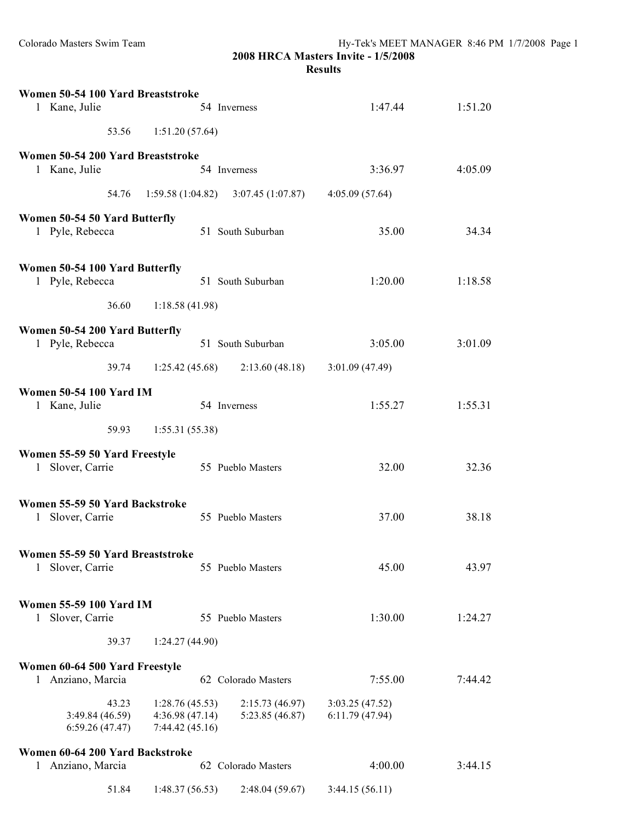| Women 50-54 100 Yard Breaststroke<br>1 Kane, Julie                 |                                                    | 54 Inverness                          | 1:47.44                          | 1:51.20 |
|--------------------------------------------------------------------|----------------------------------------------------|---------------------------------------|----------------------------------|---------|
| 53.56                                                              | 1:51.20(57.64)                                     |                                       |                                  |         |
| Women 50-54 200 Yard Breaststroke<br>1 Kane, Julie                 |                                                    | 54 Inverness                          | 3:36.97                          | 4:05.09 |
| 54.76                                                              |                                                    | $1:59.58(1:04.82)$ $3:07.45(1:07.87)$ | 4:05.09(57.64)                   |         |
| Women 50-54 50 Yard Butterfly<br>1 Pyle, Rebecca                   |                                                    | 51 South Suburban                     | 35.00                            | 34.34   |
| Women 50-54 100 Yard Butterfly<br>1 Pyle, Rebecca                  |                                                    | 51 South Suburban                     | 1:20.00                          | 1:18.58 |
| 36.60                                                              | 1:18.58(41.98)                                     |                                       |                                  |         |
| Women 50-54 200 Yard Butterfly<br>1 Pyle, Rebecca                  |                                                    | 51 South Suburban                     | 3:05.00                          | 3:01.09 |
| 39.74                                                              |                                                    | $1:25.42(45.68)$ $2:13.60(48.18)$     | 3:01.09(47.49)                   |         |
| <b>Women 50-54 100 Yard IM</b><br>1 Kane, Julie                    |                                                    | 54 Inverness                          | 1:55.27                          | 1:55.31 |
| 59.93                                                              | 1:55.31(55.38)                                     |                                       |                                  |         |
| Women 55-59 50 Yard Freestyle<br>1 Slover, Carrie                  |                                                    | 55 Pueblo Masters                     | 32.00                            | 32.36   |
| Women 55-59 50 Yard Backstroke<br>Slover, Carrie<br>1              |                                                    | 55 Pueblo Masters                     | 37.00                            | 38.18   |
| Women 55-59 50 Yard Breaststroke<br>Slover, Carrie<br>$\mathbf{1}$ |                                                    | 55 Pueblo Masters                     | 45.00                            | 43.97   |
| <b>Women 55-59 100 Yard IM</b><br>Slover, Carrie<br>$\mathbf{1}$   |                                                    | 55 Pueblo Masters                     | 1:30.00                          | 1:24.27 |
| 39.37                                                              | 1:24.27(44.90)                                     |                                       |                                  |         |
| Women 60-64 500 Yard Freestyle<br>1 Anziano, Marcia                |                                                    | 62 Colorado Masters                   | 7:55.00                          | 7:44.42 |
| 43.23<br>3:49.84 (46.59)<br>6:59.26(47.47)                         | 1:28.76(45.53)<br>4:36.98(47.14)<br>7:44.42(45.16) | 2:15.73(46.97)<br>5:23.85(46.87)      | 3:03.25(47.52)<br>6:11.79(47.94) |         |
| Women 60-64 200 Yard Backstroke                                    |                                                    |                                       |                                  |         |
| Anziano, Marcia<br>$\mathbf{I}$<br>51.84                           | 1:48.37(56.53)                                     | 62 Colorado Masters<br>2:48.04(59.67) | 4:00.00<br>3:44.15(56.11)        | 3:44.15 |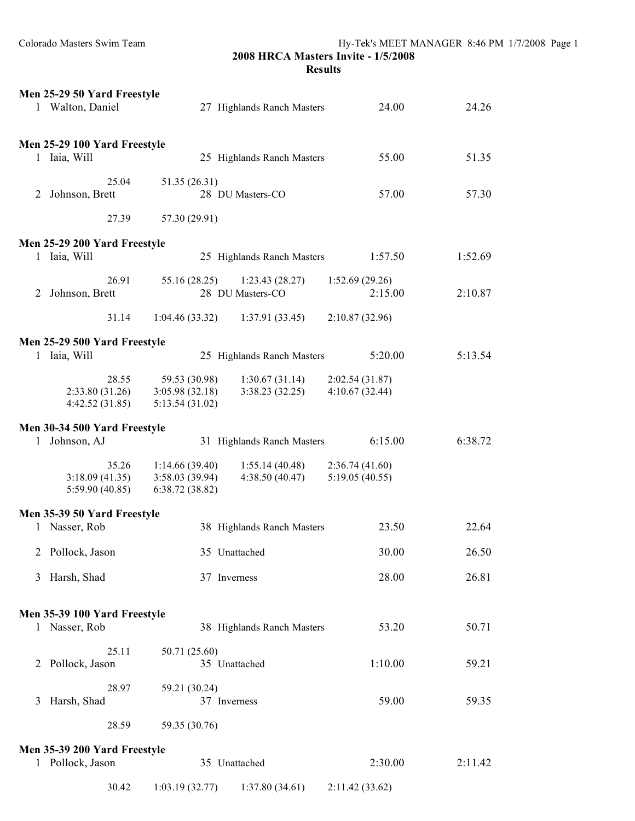|   | Men 25-29 50 Yard Freestyle<br>1 Walton, Daniel  |                                                     | 27 Highlands Ranch Masters         | 24.00                            | 24.26   |
|---|--------------------------------------------------|-----------------------------------------------------|------------------------------------|----------------------------------|---------|
|   | Men 25-29 100 Yard Freestyle<br>1 Iaia, Will     |                                                     | 25 Highlands Ranch Masters         | 55.00                            | 51.35   |
|   | 25.04<br>2 Johnson, Brett                        | 51.35 (26.31)                                       | 28 DU Masters-CO                   | 57.00                            | 57.30   |
|   | 27.39                                            | 57.30 (29.91)                                       |                                    |                                  |         |
|   | Men 25-29 200 Yard Freestyle<br>1 Iaia, Will     |                                                     | 25 Highlands Ranch Masters         | 1:57.50                          | 1:52.69 |
| 2 | 26.91<br>Johnson, Brett                          | 55.16 (28.25)                                       | 1:23.43(28.27)<br>28 DU Masters-CO | 1:52.69(29.26)<br>2:15.00        | 2:10.87 |
|   | 31.14                                            | 1:04.46(33.32)                                      | 1:37.91 (33.45)                    | 2:10.87(32.96)                   |         |
|   | Men 25-29 500 Yard Freestyle<br>1 Iaia, Will     |                                                     | 25 Highlands Ranch Masters         | 5:20.00                          | 5:13.54 |
|   | 28.55<br>2:33.80(31.26)<br>4:42.52(31.85)        | 59.53 (30.98)<br>3:05.98(32.18)<br>5:13.54(31.02)   | 1:30.67(31.14)<br>3:38.23(32.25)   | 2:02.54(31.87)<br>4:10.67(32.44) |         |
|   | Men 30-34 500 Yard Freestyle<br>1 Johnson, AJ    |                                                     | 31 Highlands Ranch Masters         | 6:15.00                          | 6:38.72 |
|   | 35.26<br>3:18.09(41.35)<br>5:59.90(40.85)        | 1:14.66(39.40)<br>3:58.03 (39.94)<br>6:38.72(38.82) | 1:55.14(40.48)<br>4:38.50(40.47)   | 2:36.74(41.60)<br>5:19.05(40.55) |         |
|   | Men 35-39 50 Yard Freestyle<br>1 Nasser, Rob     |                                                     | 38 Highlands Ranch Masters         | 23.50                            | 22.64   |
|   | 2 Pollock, Jason                                 |                                                     | 35 Unattached                      | 30.00                            | 26.50   |
| 3 | Harsh, Shad                                      |                                                     | 37 Inverness                       | 28.00                            | 26.81   |
|   | Men 35-39 100 Yard Freestyle<br>1 Nasser, Rob    |                                                     | 38 Highlands Ranch Masters         | 53.20                            | 50.71   |
| 2 | 25.11<br>Pollock, Jason                          | 50.71 (25.60)                                       | 35 Unattached                      | 1:10.00                          | 59.21   |
| 3 | 28.97<br>Harsh, Shad                             | 59.21 (30.24)                                       | 37 Inverness                       | 59.00                            | 59.35   |
|   | 28.59                                            | 59.35 (30.76)                                       |                                    |                                  |         |
|   | Men 35-39 200 Yard Freestyle<br>1 Pollock, Jason |                                                     | 35 Unattached                      | 2:30.00                          | 2:11.42 |
|   | 30.42                                            | 1:03.19(32.77)                                      | 1:37.80(34.61)                     | 2:11.42 (33.62)                  |         |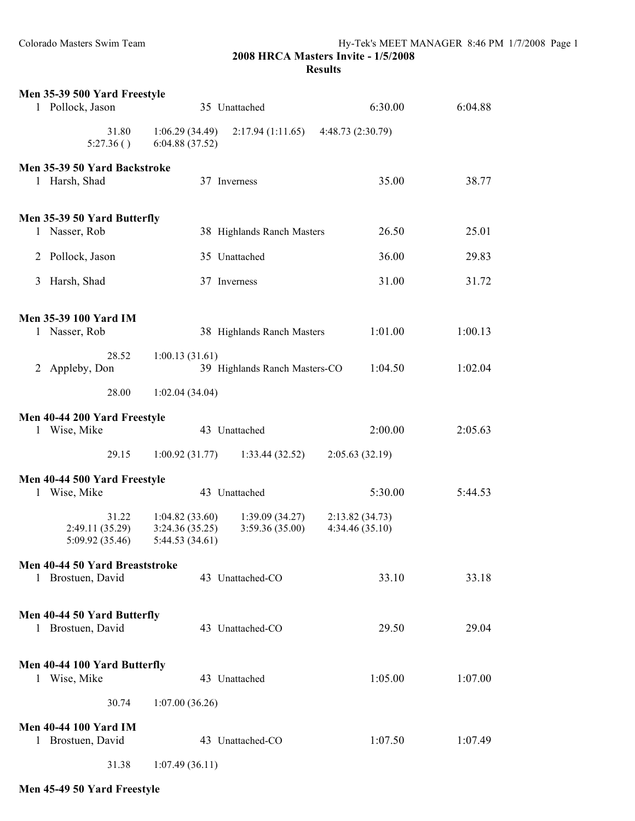|              | Men 35-39 500 Yard Freestyle                     |                                                      |                                  |                                  |         |
|--------------|--------------------------------------------------|------------------------------------------------------|----------------------------------|----------------------------------|---------|
|              | 1 Pollock, Jason                                 |                                                      | 35 Unattached                    | 6:30.00                          | 6:04.88 |
|              | 31.80<br>5:27.36()                               | 1:06.29(34.49)<br>6:04.88 (37.52)                    | 2:17.94(1:11.65)                 | 4:48.73 (2:30.79)                |         |
|              | Men 35-39 50 Yard Backstroke                     |                                                      |                                  |                                  |         |
|              | 1 Harsh, Shad                                    |                                                      | 37 Inverness                     | 35.00                            | 38.77   |
|              | Men 35-39 50 Yard Butterfly                      |                                                      |                                  |                                  |         |
|              | 1 Nasser, Rob                                    |                                                      | 38 Highlands Ranch Masters       | 26.50                            | 25.01   |
| 2            | Pollock, Jason                                   |                                                      | 35 Unattached                    | 36.00                            | 29.83   |
| 3            | Harsh, Shad                                      |                                                      | 37 Inverness                     | 31.00                            | 31.72   |
|              | <b>Men 35-39 100 Yard IM</b>                     |                                                      |                                  |                                  |         |
|              | 1 Nasser, Rob                                    |                                                      | 38 Highlands Ranch Masters       | 1:01.00                          | 1:00.13 |
|              | 28.52<br>2 Appleby, Don                          | 1:00.13(31.61)                                       | 39 Highlands Ranch Masters-CO    | 1:04.50                          | 1:02.04 |
|              | 28.00                                            | 1:02.04(34.04)                                       |                                  |                                  |         |
|              | Men 40-44 200 Yard Freestyle                     |                                                      |                                  |                                  |         |
|              | 1 Wise, Mike                                     |                                                      | 43 Unattached                    | 2:00.00                          | 2:05.63 |
|              | 29.15                                            | 1:00.92(31.77)                                       | 1:33.44(32.52)                   | 2:05.63(32.19)                   |         |
|              | Men 40-44 500 Yard Freestyle                     |                                                      |                                  |                                  |         |
| $\mathbf{1}$ | Wise, Mike                                       |                                                      | 43 Unattached                    | 5:30.00                          | 5:44.53 |
|              | 31.22<br>2:49.11 (35.29)<br>5:09.92 (35.46)      | 1:04.82(33.60)<br>3:24.36 (35.25)<br>5:44.53 (34.61) | 1:39.09(34.27)<br>3:59.36(35.00) | 2:13.82(34.73)<br>4:34.46(35.10) |         |
|              | Men 40-44 50 Yard Breaststroke                   |                                                      |                                  |                                  |         |
|              | 1 Brostuen, David                                |                                                      | 43 Unattached-CO                 | 33.10                            | 33.18   |
|              | Men 40-44 50 Yard Butterfly<br>1 Brostuen, David |                                                      | 43 Unattached-CO                 | 29.50                            | 29.04   |
|              | Men 40-44 100 Yard Butterfly<br>1 Wise, Mike     |                                                      | 43 Unattached                    | 1:05.00                          | 1:07.00 |
|              | 30.74                                            | 1:07.00(36.26)                                       |                                  |                                  |         |
|              | <b>Men 40-44 100 Yard IM</b>                     |                                                      |                                  |                                  |         |
| $\mathbf{1}$ | Brostuen, David                                  |                                                      | 43 Unattached-CO                 | 1:07.50                          | 1:07.49 |
|              | 31.38                                            | 1:07.49(36.11)                                       |                                  |                                  |         |

**Men 45-49 50 Yard Freestyle**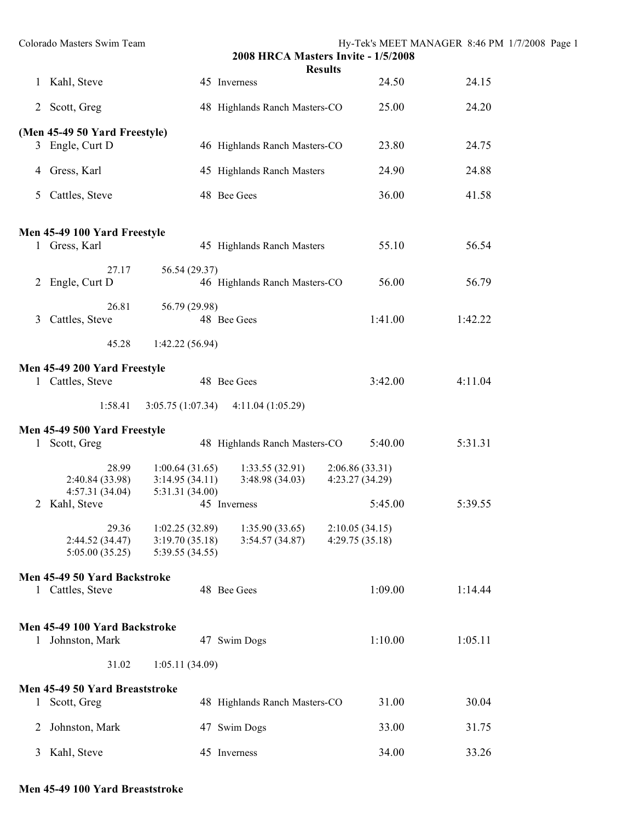|                | Colorado Masters Swim Team                        |                                                     | 2008 HRCA Masters Invite - 1/5/2008 |                                  |         | Hy-Tek's MEET MANAGER 8:46 PM 1/7/2008 Page 1 |  |
|----------------|---------------------------------------------------|-----------------------------------------------------|-------------------------------------|----------------------------------|---------|-----------------------------------------------|--|
|                | 1 Kahl, Steve                                     |                                                     | 45 Inverness                        | <b>Results</b>                   | 24.50   | 24.15                                         |  |
|                | 2 Scott, Greg                                     |                                                     | 48 Highlands Ranch Masters-CO       |                                  | 25.00   | 24.20                                         |  |
|                | (Men 45-49 50 Yard Freestyle)                     |                                                     |                                     |                                  |         |                                               |  |
|                | 3 Engle, Curt D                                   |                                                     | 46 Highlands Ranch Masters-CO       |                                  | 23.80   | 24.75                                         |  |
|                | 4 Gress, Karl                                     |                                                     | 45 Highlands Ranch Masters          |                                  | 24.90   | 24.88                                         |  |
| 5              | Cattles, Steve                                    |                                                     | 48 Bee Gees                         |                                  | 36.00   | 41.58                                         |  |
|                | Men 45-49 100 Yard Freestyle                      |                                                     |                                     |                                  |         |                                               |  |
|                | 1 Gress, Karl                                     |                                                     | 45 Highlands Ranch Masters          |                                  | 55.10   | 56.54                                         |  |
|                | 27.17<br>2 Engle, Curt D                          | 56.54 (29.37)                                       | 46 Highlands Ranch Masters-CO       |                                  | 56.00   | 56.79                                         |  |
| $\mathfrak{Z}$ | 26.81<br>Cattles, Steve                           | 56.79 (29.98)                                       | 48 Bee Gees                         |                                  | 1:41.00 | 1:42.22                                       |  |
|                | 45.28                                             | 1:42.22(56.94)                                      |                                     |                                  |         |                                               |  |
|                | Men 45-49 200 Yard Freestyle<br>1 Cattles, Steve  |                                                     | 48 Bee Gees                         |                                  | 3:42.00 | 4:11.04                                       |  |
|                | 1:58.41                                           | 3:05.75(1:07.34)                                    | 4:11.04(1:05.29)                    |                                  |         |                                               |  |
|                | Men 45-49 500 Yard Freestyle                      |                                                     |                                     |                                  |         |                                               |  |
|                | 1 Scott, Greg                                     |                                                     | 48 Highlands Ranch Masters-CO       |                                  | 5:40.00 | 5:31.31                                       |  |
|                | 28.99<br>2:40.84 (33.98)<br>4:57.31(34.04)        | 1:00.64(31.65)<br>3:14.95(34.11)<br>5:31.31 (34.00) | 1:33.55(32.91)<br>3:48.98(34.03)    | 2:06.86(33.31)<br>4:23.27(34.29) |         |                                               |  |
|                | 2 Kahl, Steve                                     | 45 Inverness                                        |                                     |                                  | 5:45.00 | 5:39.55                                       |  |
|                | 29.36<br>2:44.52 (34.47)<br>5:05.00(35.25)        | 1:02.25(32.89)<br>3:19.70(35.18)<br>5:39.55 (34.55) | 1:35.90(33.65)<br>3:54.57(34.87)    | 2:10.05(34.15)<br>4:29.75(35.18) |         |                                               |  |
|                | Men 45-49 50 Yard Backstroke                      |                                                     |                                     |                                  |         |                                               |  |
|                | 1 Cattles, Steve                                  |                                                     | 48 Bee Gees                         |                                  | 1:09.00 | 1:14.44                                       |  |
|                | Men 45-49 100 Yard Backstroke<br>1 Johnston, Mark |                                                     | 47 Swim Dogs                        |                                  | 1:10.00 | 1:05.11                                       |  |
|                | 31.02                                             | 1:05.11(34.09)                                      |                                     |                                  |         |                                               |  |
|                | Men 45-49 50 Yard Breaststroke                    |                                                     |                                     |                                  |         |                                               |  |
|                | 1 Scott, Greg                                     |                                                     | 48 Highlands Ranch Masters-CO       |                                  | 31.00   | 30.04                                         |  |
| 2              | Johnston, Mark                                    |                                                     | 47 Swim Dogs                        |                                  | 33.00   | 31.75                                         |  |
|                | 3 Kahl, Steve                                     |                                                     | 45 Inverness                        |                                  | 34.00   | 33.26                                         |  |

## **Men 45-49 100 Yard Breaststroke**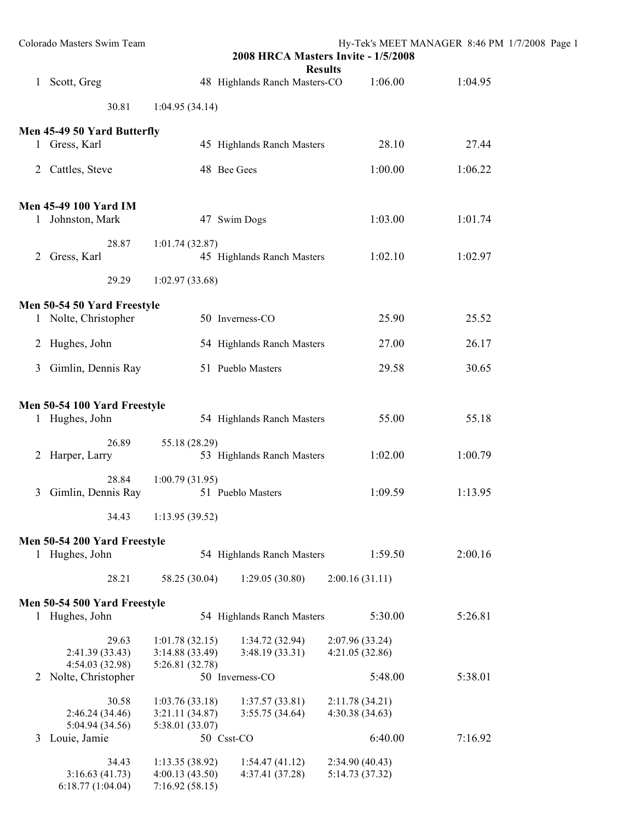|   | Colorado Masters Swim Team                       |                                  | 2008 HRCA Masters Invite - 1/5/2008<br><b>Results</b> |                 | Hy-Tek's MEET MANAGER 8:46 PM 1/7/2008 Page 1 |  |
|---|--------------------------------------------------|----------------------------------|-------------------------------------------------------|-----------------|-----------------------------------------------|--|
| 1 | Scott, Greg                                      |                                  | 48 Highlands Ranch Masters-CO                         | 1:06.00         | 1:04.95                                       |  |
|   | 30.81                                            | 1:04.95(34.14)                   |                                                       |                 |                                               |  |
|   | Men 45-49 50 Yard Butterfly                      |                                  |                                                       |                 |                                               |  |
|   | 1 Gress, Karl                                    |                                  | 45 Highlands Ranch Masters                            | 28.10           | 27.44                                         |  |
| 2 | Cattles, Steve                                   |                                  | 48 Bee Gees                                           | 1:00.00         | 1:06.22                                       |  |
|   | <b>Men 45-49 100 Yard IM</b><br>1 Johnston, Mark |                                  | 47 Swim Dogs                                          | 1:03.00         | 1:01.74                                       |  |
|   | 28.87                                            | 1:01.74(32.87)                   |                                                       |                 |                                               |  |
| 2 | Gress, Karl                                      |                                  | 45 Highlands Ranch Masters                            | 1:02.10         | 1:02.97                                       |  |
|   | 29.29                                            | 1:02.97(33.68)                   |                                                       |                 |                                               |  |
|   | Men 50-54 50 Yard Freestyle                      |                                  |                                                       |                 |                                               |  |
|   | 1 Nolte, Christopher                             |                                  | 50 Inverness-CO                                       | 25.90           | 25.52                                         |  |
|   | 2 Hughes, John                                   |                                  | 54 Highlands Ranch Masters                            | 27.00           | 26.17                                         |  |
| 3 | Gimlin, Dennis Ray                               |                                  | 51 Pueblo Masters                                     | 29.58           | 30.65                                         |  |
|   |                                                  |                                  |                                                       |                 |                                               |  |
|   | Men 50-54 100 Yard Freestyle<br>1 Hughes, John   |                                  | 54 Highlands Ranch Masters                            | 55.00           | 55.18                                         |  |
|   | 26.89                                            | 55.18 (28.29)                    |                                                       |                 |                                               |  |
|   | 2 Harper, Larry                                  |                                  | 53 Highlands Ranch Masters                            | 1:02.00         | 1:00.79                                       |  |
|   | 28.84                                            | 1:00.79(31.95)                   |                                                       |                 |                                               |  |
|   | 3 Gimlin, Dennis Ray                             |                                  | 51 Pueblo Masters                                     | 1:09.59         | 1:13.95                                       |  |
|   | 34.43                                            | 1:13.95(39.52)                   |                                                       |                 |                                               |  |
|   | Men 50-54 200 Yard Freestyle                     |                                  |                                                       |                 |                                               |  |
|   | 1 Hughes, John                                   |                                  | 54 Highlands Ranch Masters                            | 1:59.50         | 2:00.16                                       |  |
|   | 28.21                                            | 58.25 (30.04)                    | 1:29.05(30.80)                                        | 2:00.16(31.11)  |                                               |  |
|   | Men 50-54 500 Yard Freestyle                     |                                  |                                                       |                 |                                               |  |
|   | 1 Hughes, John                                   |                                  | 54 Highlands Ranch Masters                            | 5:30.00         | 5:26.81                                       |  |
|   | 29.63                                            | 1:01.78(32.15)                   | 1:34.72(32.94)                                        | 2:07.96 (33.24) |                                               |  |
|   | 2:41.39 (33.43)                                  | 3:14.88(33.49)                   | 3:48.19(33.31)                                        | 4:21.05(32.86)  |                                               |  |
| 2 | 4:54.03 (32.98)<br>Nolte, Christopher            | 5:26.81 (32.78)                  | 50 Inverness-CO                                       | 5:48.00         | 5:38.01                                       |  |
|   | 30.58                                            | 1:03.76(33.18)                   | 1:37.57(33.81)                                        | 2:11.78(34.21)  |                                               |  |
|   | 2:46.24(34.46)                                   | 3:21.11(34.87)                   | 3:55.75(34.64)                                        | 4:30.38(34.63)  |                                               |  |
|   | 5:04.94 (34.56)                                  | 5:38.01 (33.07)                  |                                                       |                 |                                               |  |
| 3 | Louie, Jamie                                     |                                  | 50 Csst-CO                                            | 6:40.00         | 7:16.92                                       |  |
|   | 34.43                                            | 1:13.35(38.92)                   | 1:54.47(41.12)                                        | 2:34.90(40.43)  |                                               |  |
|   | 3:16.63(41.73)<br>6:18.77(1:04.04)               | 4:00.13(43.50)<br>7:16.92(58.15) | 4:37.41(37.28)                                        | 5:14.73 (37.32) |                                               |  |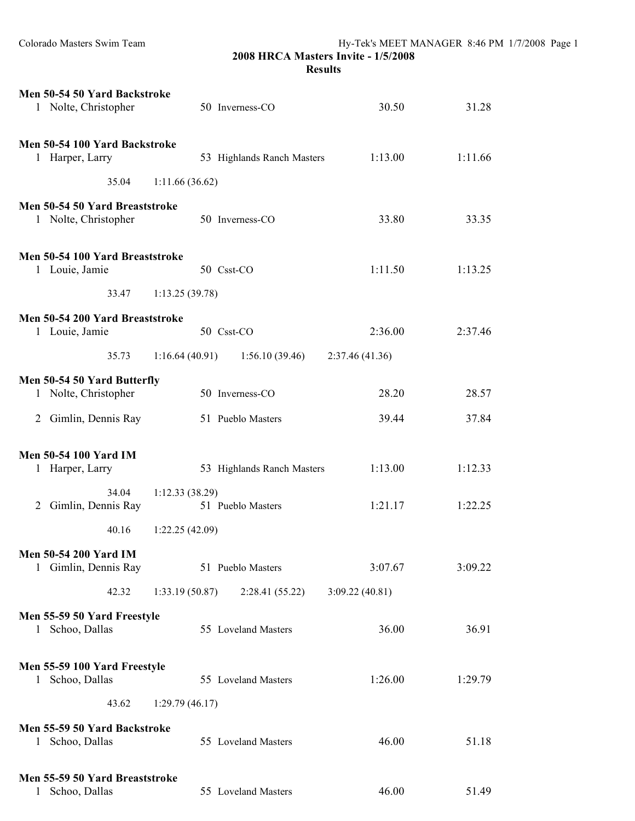|   | Men 50-54 50 Yard Backstroke<br>1 Nolte, Christopher   |                | 50 Inverness-CO                   | 30.50           | 31.28   |
|---|--------------------------------------------------------|----------------|-----------------------------------|-----------------|---------|
|   | Men 50-54 100 Yard Backstroke<br>1 Harper, Larry       |                | 53 Highlands Ranch Masters        | 1:13.00         | 1:11.66 |
|   | 35.04                                                  | 1:11.66(36.62) |                                   |                 |         |
|   | Men 50-54 50 Yard Breaststroke<br>1 Nolte, Christopher |                | 50 Inverness-CO                   | 33.80           | 33.35   |
|   | Men 50-54 100 Yard Breaststroke<br>1 Louie, Jamie      |                | 50 Csst-CO                        | 1:11.50         | 1:13.25 |
|   | 33.47                                                  | 1:13.25(39.78) |                                   |                 |         |
|   | Men 50-54 200 Yard Breaststroke<br>1 Louie, Jamie      |                | 50 Csst-CO                        | 2:36.00         | 2:37.46 |
|   | 35.73                                                  |                | $1:16.64(40.91)$ $1:56.10(39.46)$ | 2:37.46 (41.36) |         |
|   | Men 50-54 50 Yard Butterfly                            |                |                                   |                 |         |
|   | 1 Nolte, Christopher                                   |                | 50 Inverness-CO                   | 28.20           | 28.57   |
|   | 2 Gimlin, Dennis Ray                                   |                | 51 Pueblo Masters                 | 39.44           | 37.84   |
|   | <b>Men 50-54 100 Yard IM</b><br>1 Harper, Larry        |                | 53 Highlands Ranch Masters        | 1:13.00         | 1:12.33 |
| 2 | 34.04<br>Gimlin, Dennis Ray                            | 1:12.33(38.29) | 51 Pueblo Masters                 | 1:21.17         | 1:22.25 |
|   | 40.16                                                  | 1:22.25(42.09) |                                   |                 |         |
|   | <b>Men 50-54 200 Yard IM</b><br>1 Gimlin, Dennis Ray   |                | 51 Pueblo Masters                 | 3:07.67         | 3:09.22 |
|   | 42.32                                                  | 1:33.19(50.87) | 2:28.41(55.22)                    | 3:09.22(40.81)  |         |
|   | Men 55-59 50 Yard Freestyle<br>1 Schoo, Dallas         |                | 55 Loveland Masters               | 36.00           | 36.91   |
| 1 | Men 55-59 100 Yard Freestyle<br>Schoo, Dallas          |                | 55 Loveland Masters               | 1:26.00         | 1:29.79 |
|   | 43.62                                                  | 1:29.79(46.17) |                                   |                 |         |
|   | Men 55-59 50 Yard Backstroke<br>1 Schoo, Dallas        |                | 55 Loveland Masters               | 46.00           | 51.18   |
| 1 | Men 55-59 50 Yard Breaststroke<br>Schoo, Dallas        |                | 55 Loveland Masters               | 46.00           | 51.49   |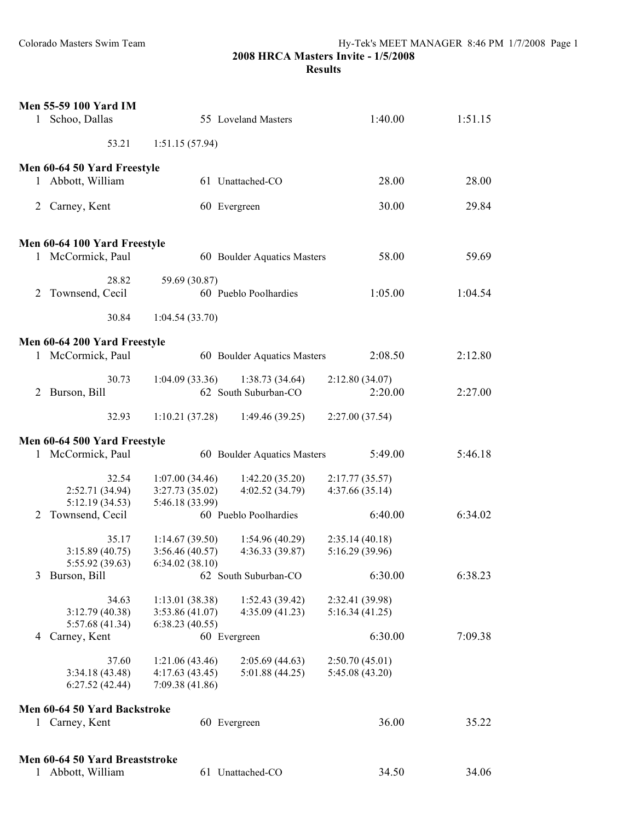## **Results**

| $\mathbf{1}$ | <b>Men 55-59 100 Yard IM</b><br>Schoo, Dallas     |                                                     | 55 Loveland Masters               | 1:40.00                           | 1:51.15 |
|--------------|---------------------------------------------------|-----------------------------------------------------|-----------------------------------|-----------------------------------|---------|
|              | 53.21                                             | 1:51.15(57.94)                                      |                                   |                                   |         |
|              |                                                   |                                                     |                                   |                                   |         |
|              | Men 60-64 50 Yard Freestyle<br>1 Abbott, William  |                                                     | 61 Unattached-CO                  | 28.00                             | 28.00   |
|              | 2 Carney, Kent                                    |                                                     | 60 Evergreen                      | 30.00                             | 29.84   |
|              |                                                   |                                                     |                                   |                                   |         |
|              | Men 60-64 100 Yard Freestyle<br>1 McCormick, Paul |                                                     | 60 Boulder Aquatics Masters       | 58.00                             | 59.69   |
| 2            | 28.82<br>Townsend, Cecil                          | 59.69 (30.87)                                       | 60 Pueblo Poolhardies             | 1:05.00                           | 1:04.54 |
|              | 30.84                                             | 1:04.54(33.70)                                      |                                   |                                   |         |
|              | Men 60-64 200 Yard Freestyle                      |                                                     |                                   |                                   |         |
|              | 1 McCormick, Paul                                 |                                                     | 60 Boulder Aquatics Masters       | 2:08.50                           | 2:12.80 |
|              | 30.73                                             | 1:04.09(33.36)                                      | 1:38.73(34.64)                    | 2:12.80(34.07)                    |         |
| 2            | Burson, Bill                                      |                                                     | 62 South Suburban-CO              | 2:20.00                           | 2:27.00 |
|              | 32.93                                             | 1:10.21(37.28)                                      | 1:49.46(39.25)                    | 2:27.00(37.54)                    |         |
|              | Men 60-64 500 Yard Freestyle                      |                                                     |                                   |                                   |         |
|              | 1 McCormick, Paul                                 |                                                     | 60 Boulder Aquatics Masters       | 5:49.00                           | 5:46.18 |
|              | 32.54<br>2:52.71 (34.94)<br>5:12.19(34.53)        | 1:07.00(34.46)<br>3:27.73(35.02)<br>5:46.18 (33.99) | 1:42.20(35.20)<br>4:02.52 (34.79) | 2:17.77(35.57)<br>4:37.66(35.14)  |         |
| 2            | Townsend, Cecil                                   |                                                     | 60 Pueblo Poolhardies             | 6:40.00                           | 6:34.02 |
|              | 35.17<br>3:15.89 (40.75)<br>5:55.92 (39.63)       | 1:14.67(39.50)<br>3:56.46(40.57)<br>6:34.02(38.10)  | 1:54.96(40.29)<br>4:36.33(39.87)  | 2:35.14(40.18)<br>5:16.29 (39.96) |         |
| 3            | Burson, Bill                                      |                                                     | 62 South Suburban-CO              | 6:30.00                           | 6:38.23 |
|              | 34.63<br>3:12.79 (40.38)<br>5:57.68 (41.34)       | 1:13.01(38.38)<br>3:53.86(41.07)<br>6:38.23(40.55)  | 1:52.43(39.42)<br>4:35.09(41.23)  | 2:32.41 (39.98)<br>5:16.34(41.25) |         |
| 4            | Carney, Kent                                      |                                                     | 60 Evergreen                      | 6:30.00                           | 7:09.38 |
|              | 37.60                                             | 1:21.06 (43.46)                                     | 2:05.69(44.63)                    | 2:50.70(45.01)                    |         |
|              | 3:34.18 (43.48)<br>6:27.52(42.44)                 | 4:17.63(43.45)<br>7:09.38(41.86)                    | 5:01.88(44.25)                    | 5:45.08 (43.20)                   |         |
|              | Men 60-64 50 Yard Backstroke                      |                                                     |                                   |                                   |         |
|              | 1 Carney, Kent                                    |                                                     | 60 Evergreen                      | 36.00                             | 35.22   |
|              | Men 60-64 50 Yard Breaststroke                    |                                                     |                                   |                                   |         |
| 1            | Abbott, William                                   |                                                     | 61 Unattached-CO                  | 34.50                             | 34.06   |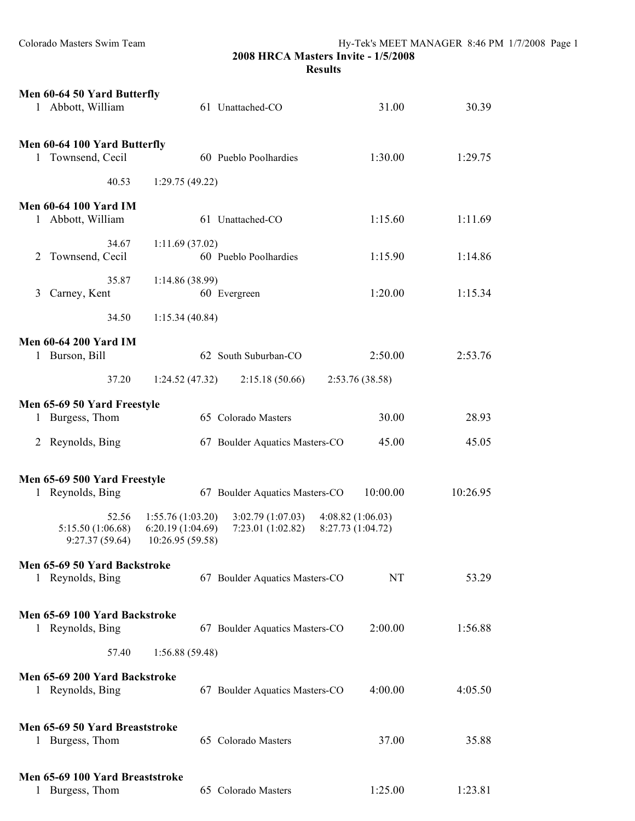|              | Men 60-64 50 Yard Butterfly                     |                                                           |                                       |                                       |          |
|--------------|-------------------------------------------------|-----------------------------------------------------------|---------------------------------------|---------------------------------------|----------|
|              | 1 Abbott, William                               |                                                           | 61 Unattached-CO                      | 31.00                                 | 30.39    |
|              |                                                 |                                                           |                                       |                                       |          |
|              | Men 60-64 100 Yard Butterfly                    |                                                           |                                       |                                       |          |
|              | 1 Townsend, Cecil                               |                                                           | 60 Pueblo Poolhardies                 | 1:30.00                               | 1:29.75  |
|              | 40.53                                           | 1:29.75(49.22)                                            |                                       |                                       |          |
|              | <b>Men 60-64 100 Yard IM</b>                    |                                                           |                                       |                                       |          |
|              | 1 Abbott, William                               |                                                           | 61 Unattached-CO                      | 1:15.60                               | 1:11.69  |
|              | 34.67                                           | 1:11.69(37.02)                                            |                                       |                                       |          |
| 2            | Townsend, Cecil                                 |                                                           | 60 Pueblo Poolhardies                 | 1:15.90                               | 1:14.86  |
|              | 35.87                                           | 1:14.86(38.99)                                            |                                       |                                       |          |
| 3            | Carney, Kent                                    |                                                           | 60 Evergreen                          | 1:20.00                               | 1:15.34  |
|              | 34.50                                           | 1:15.34(40.84)                                            |                                       |                                       |          |
|              | <b>Men 60-64 200 Yard IM</b>                    |                                                           |                                       |                                       |          |
|              | 1 Burson, Bill                                  |                                                           | 62 South Suburban-CO                  | 2:50.00                               | 2:53.76  |
|              | 37.20                                           | 1:24.52(47.32)                                            | 2:15.18(50.66)                        | 2:53.76 (38.58)                       |          |
|              | Men 65-69 50 Yard Freestyle                     |                                                           |                                       |                                       |          |
|              | 1 Burgess, Thom                                 |                                                           | 65 Colorado Masters                   | 30.00                                 | 28.93    |
|              | 2 Reynolds, Bing                                |                                                           | 67 Boulder Aquatics Masters-CO        | 45.00                                 | 45.05    |
|              |                                                 |                                                           |                                       |                                       |          |
|              | Men 65-69 500 Yard Freestyle                    |                                                           |                                       |                                       |          |
| $\mathbf{1}$ | Reynolds, Bing                                  |                                                           | 67 Boulder Aquatics Masters-CO        | 10:00.00                              | 10:26.95 |
|              | 52.56<br>5:15.50 (1:06.68)<br>9:27.37(59.64)    | 1:55.76(1:03.20)<br>6:20.19 (1:04.69)<br>10:26.95 (59.58) | 3:02.79(1:07.03)<br>7:23.01 (1:02.82) | 4:08.82(1:06.03)<br>8:27.73 (1:04.72) |          |
|              | Men 65-69 50 Yard Backstroke                    |                                                           |                                       |                                       |          |
|              | 1 Reynolds, Bing                                |                                                           | 67 Boulder Aquatics Masters-CO        | NT                                    | 53.29    |
|              |                                                 |                                                           |                                       |                                       |          |
|              | Men 65-69 100 Yard Backstroke                   |                                                           |                                       |                                       |          |
|              | 1 Reynolds, Bing                                |                                                           | 67 Boulder Aquatics Masters-CO        | 2:00.00                               | 1:56.88  |
|              | 57.40                                           | 1:56.88(59.48)                                            |                                       |                                       |          |
|              | Men 65-69 200 Yard Backstroke                   |                                                           |                                       |                                       |          |
|              | 1 Reynolds, Bing                                |                                                           | 67 Boulder Aquatics Masters-CO        | 4:00.00                               | 4:05.50  |
|              |                                                 |                                                           |                                       |                                       |          |
| 1            | Men 65-69 50 Yard Breaststroke<br>Burgess, Thom |                                                           | 65 Colorado Masters                   | 37.00                                 | 35.88    |
|              |                                                 |                                                           |                                       |                                       |          |
|              | Men 65-69 100 Yard Breaststroke                 |                                                           |                                       |                                       |          |
|              | Burgess, Thom                                   |                                                           | 65 Colorado Masters                   | 1:25.00                               | 1:23.81  |